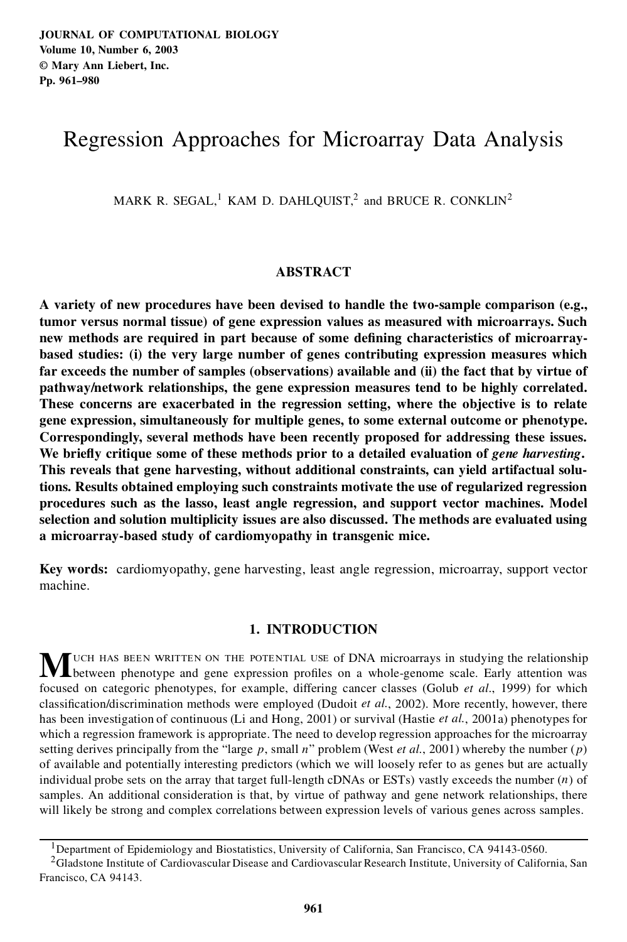# Regression Approaches for Microarray Data Analysis

MARK R. SEGAL,<sup>1</sup> KAM D. DAHLQUIST,<sup>2</sup> and BRUCE R. CONKLIN<sup>2</sup>

# **ABSTRACT**

**A variety of new procedures have been devised to handle the two-sample comparison (e.g., tumor versus normal tissue) of gene expression values as measured with microarrays. Such new methods are required in part because of some de ning characteristics of microarraybased studies: (i) the very large number of genes contributing expression measures which far exceeds the number of samples (observations) available and (ii) the fact that by virtue of pathway/network relationships, the gene expression measures tend to be highly correlated. These concerns are exacerbated in the regression setting, where the objective is to relate gene expression, simultaneously for multiple genes, to some external outcome or phenotype. Correspondingly, several methods have been recently proposed for addressing these issues. We brie y critique some of these methods prior to a detailed evaluation of** *gene harvesting***. This reveals that gene harvesting, without additional constraints, can yield artifactual solutions. Results obtained employing such constraints motivate the use of regularized regression procedures such as the lasso, least angle regression, and support vector machines. Model selection and solution multiplicity issues are also discussed. The methods are evaluated using a microarray-based study of cardiomyopathy in transgenic mice.**

**Key words:** cardiomyopathy, gene harvesting, least angle regression, microarray, support vector machine.

# **1. INTRODUCTION**

**M**UCH HAS BEEN WRITTEN ON THE POTENTIAL USE of DNA microarrays in studying the relationship<br>between phenotype and gene expression profiles on a whole-genome scale. Early attention was focused on categoric phenotypes, for example, differing cancer classes (Golub *et al.*, 1999) for which classification/discrimination methods were employed (Dudoit *et al.*, 2002). More recently, however, there has been investigation of continuous (Li and Hong, 2001) or survival (Hastie *et al.*, 2001a) phenotypes for which a regression framework is appropriate. The need to develop regression approaches for the microarray setting derives principally from the "large  $p$ , small  $n$ " problem (West *et al.*, 2001) whereby the number  $(p)$ of available and potentially interesting predictors (which we will loosely refer to as genes but are actually individual probe sets on the array that target full-length cDNAs or ESTs) vastly exceeds the number  $(n)$  of samples. An additional consideration is that, by virtue of pathway and gene network relationships, there will likely be strong and complex correlations between expression levels of various genes across samples.

<sup>&</sup>lt;sup>1</sup>Department of Epidemiology and Biostatistics, University of California, San Francisco, CA 94143-0560.

<sup>&</sup>lt;sup>2</sup>Gladstone Institute of Cardiovascular Disease and Cardiovascular Research Institute, University of California, San Francisco, CA 94143.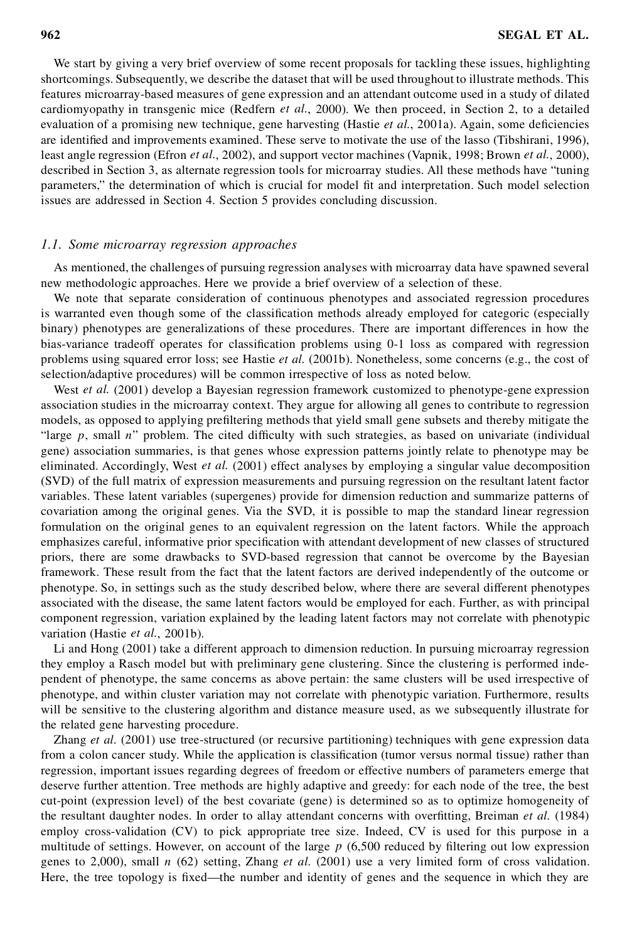We start by giving a very brief overview of some recent proposals for tackling these issues, highlighting shortcomings. Subsequently, we describe the dataset that will be used throughout to illustrate methods. This features microarray-based measures of gene expression and an attendant outcome used in a study of dilated cardiomyopathy in transgenic mice (Redfern *et al.*, 2000). We then proceed, in Section 2, to a detailed evaluation of a promising new technique, gene harvesting (Hastie *et al.*, 2001a). Again, some deficiencies are identified and improvements examined. These serve to motivate the use of the lasso (Tibshirani, 1996), least angle regression (Efron *et al.*, 2002), and support vector machines (Vapnik, 1998; Brown *et al.*, 2000), described in Section 3, as alternate regression tools for microarray studies. All these methods have "tuning parameters," the determination of which is crucial for model fit and interpretation. Such model selection issues are addressed in Section 4. Section 5 provides concluding discussion.

# *1.1. Some microarray regression approaches*

As mentioned, the challenges of pursuing regression analyses with microarray data have spawned several new methodologic approaches. Here we provide a brief overview of a selection of these.

We note that separate consideration of continuous phenotypes and associated regression procedures is warranted even though some of the classification methods already employed for categoric (especially binary) phenotypes are generalizations of these procedures. There are important differences in how the bias-variance tradeoff operates for classification problems using 0-1 loss as compared with regression problems using squared error loss; see Hastie *et al.* (2001b). Nonetheless, some concerns (e.g., the cost of selection/adaptive procedures) will be common irrespective of loss as noted below.

West *et al.* (2001) develop a Bayesian regression framework customized to phenotype-gene expression association studies in the microarray context. They argue for allowing all genes to contribute to regression models, as opposed to applying prefiltering methods that yield small gene subsets and thereby mitigate the "large  $p$ , small  $n$ " problem. The cited difficulty with such strategies, as based on univariate (individual gene) association summaries, is that genes whose expression patterns jointly relate to phenotype may be eliminated. Accordingly, West *et al.* (2001) effect analyses by employing a singular value decomposition (SVD) of the full matrix of expression measurements and pursuing regression on the resultant latent factor variables. These latent variables (supergenes) provide for dimension reduction and summarize patterns of covariation among the original genes. Via the SVD, it is possible to map the standard linear regression formulation on the original genes to an equivalent regression on the latent factors. While the approach emphasizes careful, informative prior specification with attendant development of new classes of structured priors, there are some drawbacks to SVD-based regression that cannot be overcome by the Bayesian framework. These result from the fact that the latent factors are derived independently of the outcome or phenotype. So, in settings such as the study described below, where there are several different phenotypes associated with the disease, the same latent factors would be employed for each. Further, as with principal component regression, variation explained by the leading latent factors may not correlate with phenotypic variation (Hastie *et al.*, 2001b).

Li and Hong (2001) take a different approach to dimension reduction. In pursuing microarray regression they employ a Rasch model but with preliminary gene clustering. Since the clustering is performed independent of phenotype, the same concerns as above pertain: the same clusters will be used irrespective of phenotype, and within cluster variation may not correlate with phenotypic variation. Furthermore, results will be sensitive to the clustering algorithm and distance measure used, as we subsequently illustrate for the related gene harvesting procedure.

Zhang *et al.* (2001) use tree-structured (or recursive partitioning) techniques with gene expression data from a colon cancer study. While the application is classification (tumor versus normal tissue) rather than regression, important issues regarding degrees of freedom or effective numbers of parameters emerge that deserve further attention. Tree methods are highly adaptive and greedy: for each node of the tree, the best cut-point (expression level) of the best covariate (gene) is determined so as to optimize homogeneity of the resultant daughter nodes. In order to allay attendant concerns with overfitting, Breiman *et al.* (1984) employ cross-validation (CV) to pick appropriate tree size. Indeed, CV is used for this purpose in a multitude of settings. However, on account of the large  $p(6,500$  reduced by filtering out low expression genes to 2,000), small n (62) setting, Zhang *et al.* (2001) use a very limited form of cross validation. Here, the tree topology is fixed—the number and identity of genes and the sequence in which they are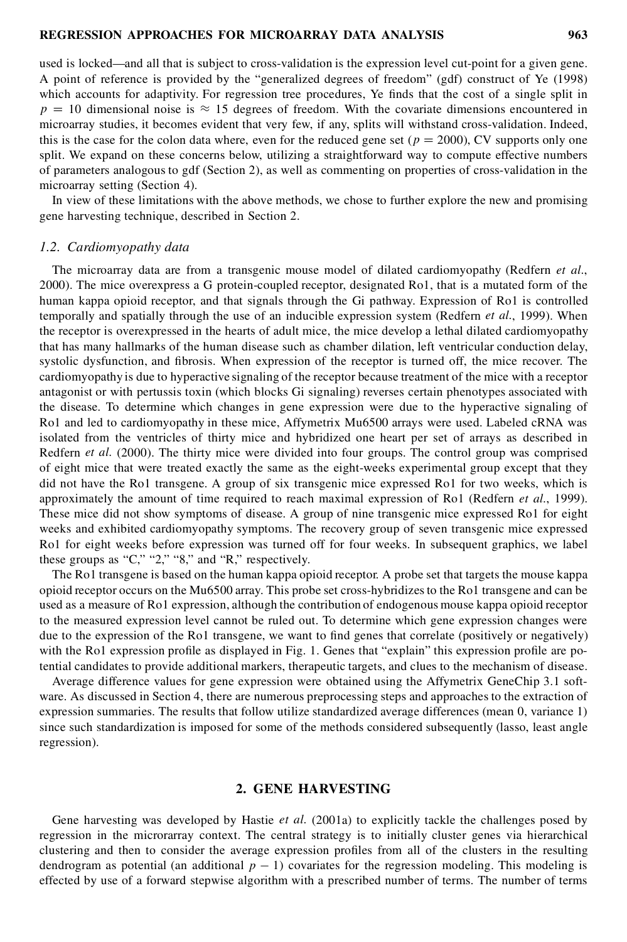used is locked—and all that is subject to cross-validation is the expression level cut-point for a given gene. A point of reference is provided by the "generalized degrees of freedom" (gdf) construct of Ye (1998) which accounts for adaptivity. For regression tree procedures, Ye finds that the cost of a single split in  $p = 10$  dimensional noise is  $\approx 15$  degrees of freedom. With the covariate dimensions encountered in microarray studies, it becomes evident that very few, if any, splits will withstand cross-validation. Indeed, this is the case for the colon data where, even for the reduced gene set ( $p = 2000$ ), CV supports only one split. We expand on these concerns below, utilizing a straightforward way to compute effective numbers of parameters analogous to gdf (Section 2), as well as commenting on properties of cross-validation in the microarray setting (Section 4).

In view of these limitations with the above methods, we chose to further explore the new and promising gene harvesting technique, described in Section 2.

## *1.2. Cardiomyopathy data*

The microarray data are from a transgenic mouse model of dilated cardiomyopathy (Redfern *et al.*, 2000). The mice overexpress a G protein-coupled receptor, designated Ro1, that is a mutated form of the human kappa opioid receptor, and that signals through the Gi pathway. Expression of Ro1 is controlled temporally and spatially through the use of an inducible expression system (Redfern *et al.*, 1999). When the receptor is overexpressed in the hearts of adult mice, the mice develop a lethal dilated cardiomyopathy that has many hallmarks of the human disease such as chamber dilation, left ventricular conduction delay, systolic dysfunction, and fibrosis. When expression of the receptor is turned off, the mice recover. The cardiomyopathy is due to hyperactive signaling of the receptor because treatment of the mice with a receptor antagonist or with pertussis toxin (which blocks Gi signaling) reverses certain phenotypes associated with the disease. To determine which changes in gene expression were due to the hyperactive signaling of Ro1 and led to cardiomyopathy in these mice, Affymetrix Mu6500 arrays were used. Labeled cRNA was isolated from the ventricles of thirty mice and hybridized one heart per set of arrays as described in Redfern *et al.* (2000). The thirty mice were divided into four groups. The control group was comprised of eight mice that were treated exactly the same as the eight-weeks experimental group except that they did not have the Ro1 transgene. A group of six transgenic mice expressed Ro1 for two weeks, which is approximately the amount of time required to reach maximal expression of Ro1 (Redfern *et al.*, 1999). These mice did not show symptoms of disease. A group of nine transgenic mice expressed Ro1 for eight weeks and exhibited cardiomyopathy symptoms. The recovery group of seven transgenic mice expressed Ro1 for eight weeks before expression was turned off for four weeks. In subsequent graphics, we label these groups as "C," "2," "8," and "R," respectively.

The Ro1 transgene is based on the human kappa opioid receptor. A probe set that targets the mouse kappa opioid receptor occurs on the Mu6500 array. This probe set cross-hybridizesto the Ro1 transgene and can be used as a measure of Ro1 expression, although the contribution of endogenous mouse kappa opioid receptor to the measured expression level cannot be ruled out. To determine which gene expression changes were due to the expression of the Ro1 transgene, we want to find genes that correlate (positively or negatively) with the Ro1 expression profile as displayed in Fig. 1. Genes that "explain" this expression profile are potential candidates to provide additional markers, therapeutic targets, and clues to the mechanism of disease.

Average difference values for gene expression were obtained using the Affymetrix GeneChip 3.1 software. As discussed in Section 4, there are numerous preprocessing steps and approaches to the extraction of expression summaries. The results that follow utilize standardized average differences (mean 0, variance 1) since such standardization is imposed for some of the methods considered subsequently (lasso, least angle regression).

# **2. GENE HARVESTING**

Gene harvesting was developed by Hastie *et al.* (2001a) to explicitly tackle the challenges posed by regression in the microrarray context. The central strategy is to initially cluster genes via hierarchical clustering and then to consider the average expression profiles from all of the clusters in the resulting dendrogram as potential (an additional  $p - 1$ ) covariates for the regression modeling. This modeling is effected by use of a forward stepwise algorithm with a prescribed number of terms. The number of terms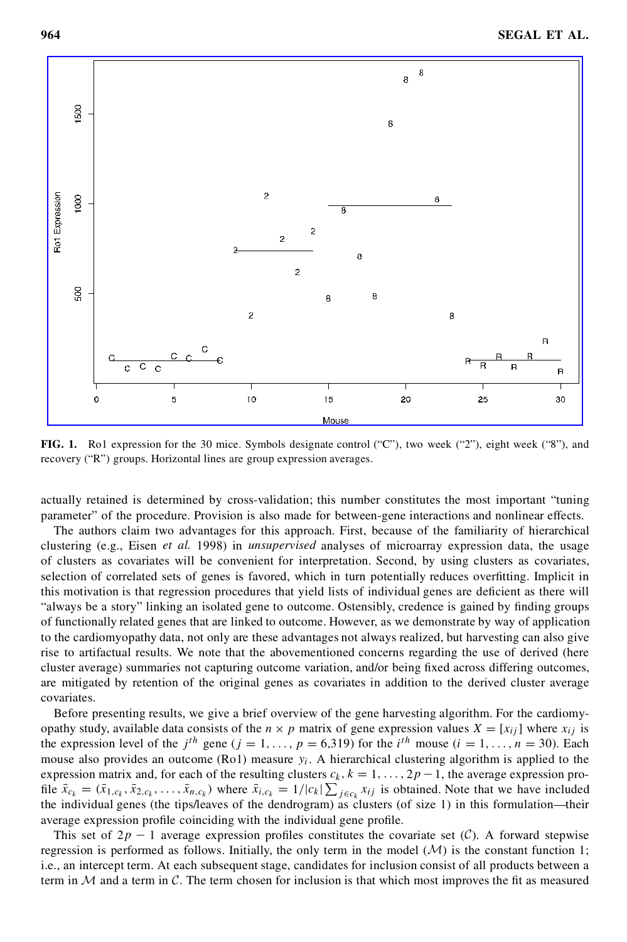

**FIG. 1.** Ro1 expression for the 30 mice. Symbols designate control ("C"), two week ("2"), eight week ("8"), and recovery ("R") groups. Horizontal lines are group expression averages.

actually retained is determined by cross-validation; this number constitutes the most important "tuning parameter" of the procedure. Provision is also made for between-gene interactions and nonlinear effects.

The authors claim two advantages for this approach. First, because of the familiarity of hierarchical clustering (e.g., Eisen *et al.* 1998) in *unsupervised* analyses of microarray expression data, the usage of clusters as covariates will be convenient for interpretation. Second, by using clusters as covariates, selection of correlated sets of genes is favored, which in turn potentially reduces overfitting. Implicit in this motivation is that regression procedures that yield lists of individual genes are deficient as there will "always be a story" linking an isolated gene to outcome. Ostensibly, credence is gained by finding groups of functionally related genes that are linked to outcome. However, as we demonstrate by way of application to the cardiomyopathy data, not only are these advantages not always realized, but harvesting can also give rise to artifactual results. We note that the abovementioned concerns regarding the use of derived (here cluster average) summaries not capturing outcome variation, and/or being fixed across differing outcomes, are mitigated by retention of the original genes as covariates in addition to the derived cluster average covariates.

Before presenting results, we give a brief overview of the gene harvesting algorithm. For the cardiomyopathy study, available data consists of the  $n \times p$  matrix of gene expression values  $X = [x_{ij}]$  where  $x_{ij}$  is the expression level of the  $j<sup>th</sup>$  gene ( $j = 1, \ldots, p = 6,319$ ) for the  $i<sup>th</sup>$  mouse ( $i = 1, \ldots, n = 30$ ). Each mouse also provides an outcome (Ro1) measure  $y_i$ . A hierarchical clustering algorithm is applied to the expression matrix and, for each of the resulting clusters  $c_k$ ,  $k = 1, \ldots, 2p - 1$ , the average expression proexpression mainx and, for each of the resulting clusters  $c_k$ ,  $k = 1, ..., 2p - 1$ , the average expression pro-<br>file  $\bar{x}_{c_k} = (\bar{x}_{1,c_k}, \bar{x}_{2,c_k}, ..., \bar{x}_{n,c_k})$  where  $\bar{x}_{i,c_k} = 1/|c_k| \sum_{j \in c_k} x_{ij}$  is obtained. Note that we have incl the individual genes (the tips/leaves of the dendrogram) as clusters (of size 1) in this formulation—their average expression profile coinciding with the individual gene profile.

This set of  $2p - 1$  average expression profiles constitutes the covariate set (C). A forward stepwise regression is performed as follows. Initially, the only term in the model  $(M)$  is the constant function 1; i.e., an intercept term. At each subsequent stage, candidates for inclusion consist of all products between a term in  $M$  and a term in  $C$ . The term chosen for inclusion is that which most improves the fit as measured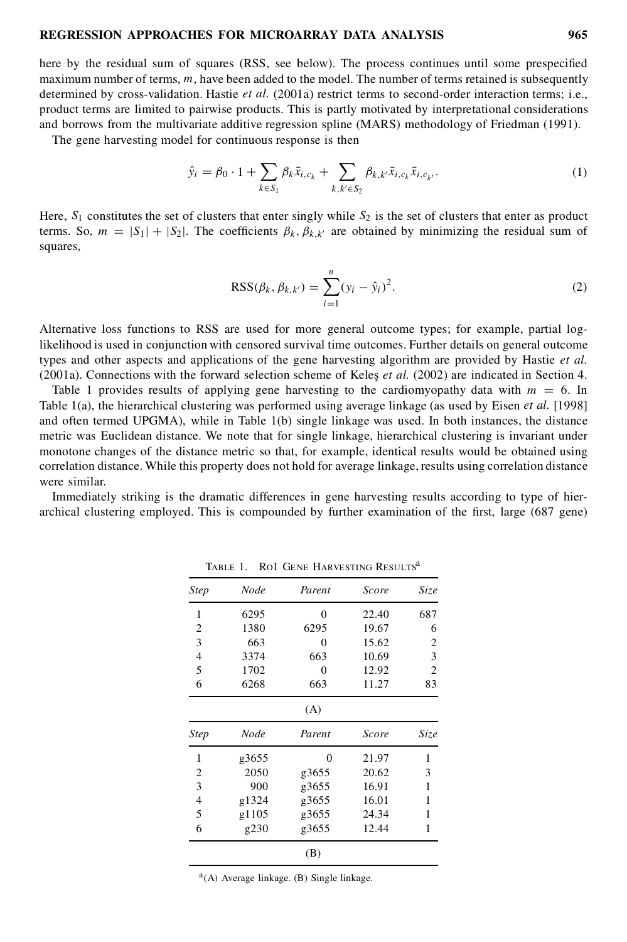here by the residual sum of squares (RSS, see below). The process continues until some prespecified maximum number of terms,  $m$ , have been added to the model. The number of terms retained is subsequently determined by cross-validation. Hastie *et al.* (2001a) restrict terms to second-order interaction terms; i.e., product terms are limited to pairwise products. This is partly motivated by interpretational considerations and borrows from the multivariate additive regression spline (MARS) methodology of Friedman (1991).

The gene harvesting model for continuous response is then

$$
\hat{y}_i = \beta_0 \cdot 1 + \sum_{k \in S_1} \beta_k \bar{x}_{i,c_k} + \sum_{k,k' \in S_2} \beta_{k,k'} \bar{x}_{i,c_k} \bar{x}_{i,c_{k'}}.
$$
\n(1)

Here,  $S_1$  constitutes the set of clusters that enter singly while  $S_2$  is the set of clusters that enter as product terms. So,  $m = |S_1| + |S_2|$ . The coefficients  $\beta_k$ ,  $\beta_k$ ,  $\mu_i$  are obtained by minimizing the residual sum of squares,

$$
RSS(\beta_k, \beta_{k,k'}) = \sum_{i=1}^{n} (y_i - \hat{y}_i)^2.
$$
 (2)

Alternative loss functions to RSS are used for more general outcome types; for example, partial loglikelihood is used in conjunction with censored survival time outcomes. Further details on general outcome types and other aspects and applications of the gene harvesting algorithm are provided by Hastie *et al.* (2001a). Connections with the forward selection scheme of Keles *et al.* (2002) are indicated in Section 4.

Table 1 provides results of applying gene harvesting to the cardiomyopathy data with  $m = 6$ . In Table 1(a), the hierarchical clustering was performed using average linkage (as used by Eisen *et al.* [1998] and often termed UPGMA), while in Table 1(b) single linkage was used. In both instances, the distance metric was Euclidean distance. We note that for single linkage, hierarchical clustering is invariant under monotone changes of the distance metric so that, for example, identical results would be obtained using correlation distance. While this property does not hold for average linkage, results using correlation distance were similar.

Immediately striking is the dramatic differences in gene harvesting results according to type of hierarchical clustering employed. This is compounded by further examination of the first, large (687 gene)

| <b>Step</b> | Node  | Parent | Score | Size<br>687 |  |
|-------------|-------|--------|-------|-------------|--|
| 1           | 6295  | 0      | 22.40 |             |  |
| 2           | 1380  | 6295   | 19.67 | 6           |  |
| 3           | 663   | 0      | 15.62 | 2           |  |
| 4           | 3374  | 663    | 10.69 | 3           |  |
| 5           | 1702  | 0      | 12.92 | 2           |  |
| 6           | 6268  | 663    | 11.27 | 83          |  |
|             |       | (A)    |       |             |  |
| Step        | Node  | Parent | Score | Size        |  |
| 1           | g3655 | 0      | 21.97 | 1           |  |
| 2           | 2050  | g3655  | 20.62 | 3           |  |
|             |       |        |       |             |  |
| 3           | 900   | g3655  | 16.91 | 1           |  |
| 4           | g1324 | g3655  | 16.01 | 1           |  |
| 5           | g1105 | g3655  | 24.34 | 1           |  |

TABLE 1. RO1 GENE HARVESTING RESULTS<sup>a</sup>

<sup>a</sup>(A) Average linkage. (B) Single linkage.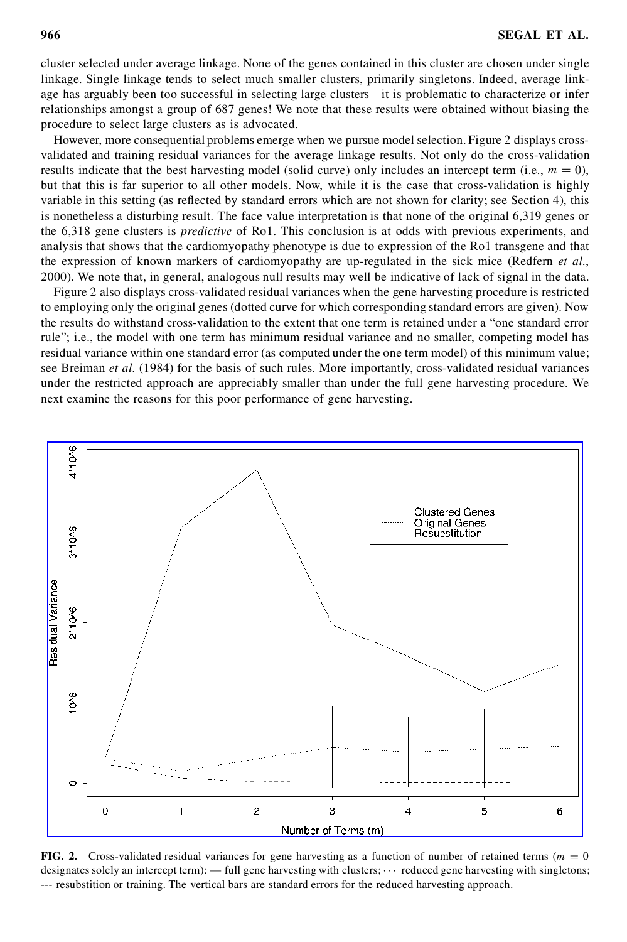cluster selected under average linkage. None of the genes contained in this cluster are chosen under single linkage. Single linkage tends to select much smaller clusters, primarily singletons. Indeed, average linkage has arguably been too successful in selecting large clusters—it is problematic to characterize or infer relationships amongst a group of 687 genes! We note that these results were obtained without biasing the procedure to select large clusters as is advocated.

However, more consequential problems emerge when we pursue model selection. Figure 2 displays crossvalidated and training residual variances for the average linkage results. Not only do the cross-validation results indicate that the best harvesting model (solid curve) only includes an intercept term (i.e.,  $m = 0$ ), but that this is far superior to all other models. Now, while it is the case that cross-validation is highly variable in this setting (as reflected by standard errors which are not shown for clarity; see Section 4), this is nonetheless a disturbing result. The face value interpretation is that none of the original 6,319 genes or the 6,318 gene clusters is *predictive* of Ro1. This conclusion is at odds with previous experiments, and analysis that shows that the cardiomyopathy phenotype is due to expression of the Ro1 transgene and that the expression of known markers of cardiomyopathy are up-regulated in the sick mice (Redfern *et al.*, 2000). We note that, in general, analogous null results may well be indicative of lack of signal in the data.

Figure 2 also displays cross-validated residual variances when the gene harvesting procedure is restricted to employing only the original genes (dotted curve for which corresponding standard errors are given). Now the results do withstand cross-validation to the extent that one term is retained under a "one standard error rule"; i.e., the model with one term has minimum residual variance and no smaller, competing model has residual variance within one standard error (as computed under the one term model) of this minimum value; see Breiman *et al.* (1984) for the basis of such rules. More importantly, cross-validated residual variances under the restricted approach are appreciably smaller than under the full gene harvesting procedure. We next examine the reasons for this poor performance of gene harvesting.



**FIG. 2.** Cross-validated residual variances for gene harvesting as a function of number of retained terms ( $m = 0$ ) designates solely an intercept term): — full gene harvesting with clusters;  $\cdots$  reduced gene harvesting with singletons; --- resubstition or training. The vertical bars are standard errors for the reduced harvesting approach.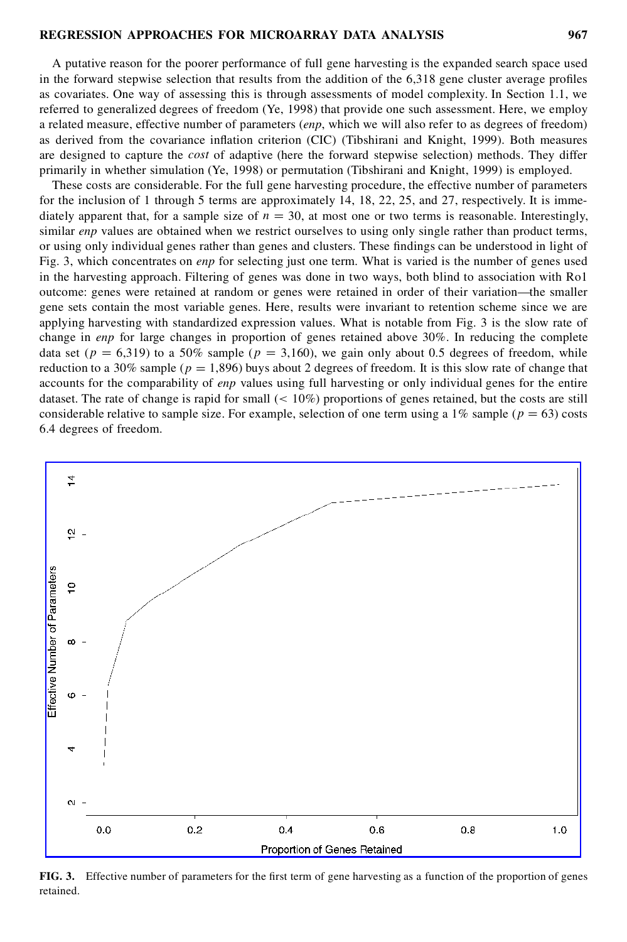A putative reason for the poorer performance of full gene harvesting is the expanded search space used in the forward stepwise selection that results from the addition of the  $6.318$  gene cluster average profiles as covariates. One way of assessing this is through assessments of model complexity. In Section 1.1, we referred to generalized degrees of freedom (Ye, 1998) that provide one such assessment. Here, we employ a related measure, effective number of parameters (*enp*, which we will also refer to as degrees of freedom) as derived from the covariance inflation criterion (CIC) (Tibshirani and Knight, 1999). Both measures are designed to capture the *cost* of adaptive (here the forward stepwise selection) methods. They differ primarily in whether simulation (Ye, 1998) or permutation (Tibshirani and Knight, 1999) is employed.

These costs are considerable. For the full gene harvesting procedure, the effective number of parameters for the inclusion of 1 through 5 terms are approximately 14, 18, 22, 25, and 27, respectively. It is immediately apparent that, for a sample size of  $n = 30$ , at most one or two terms is reasonable. Interestingly, similar *enp* values are obtained when we restrict ourselves to using only single rather than product terms, or using only individual genes rather than genes and clusters. These findings can be understood in light of Fig. 3, which concentrates on *enp* for selecting just one term. What is varied is the number of genes used in the harvesting approach. Filtering of genes was done in two ways, both blind to association with Ro1 outcome: genes were retained at random or genes were retained in order of their variation—the smaller gene sets contain the most variable genes. Here, results were invariant to retention scheme since we are applying harvesting with standardized expression values. What is notable from Fig. 3 is the slow rate of change in *enp* for large changes in proportion of genes retained above 30%. In reducing the complete data set ( $p = 6,319$ ) to a 50% sample ( $p = 3,160$ ), we gain only about 0.5 degrees of freedom, while reduction to a 30% sample ( $p = 1,896$ ) buys about 2 degrees of freedom. It is this slow rate of change that accounts for the comparability of *enp* values using full harvesting or only individual genes for the entire dataset. The rate of change is rapid for small  $(< 10\%)$  proportions of genes retained, but the costs are still considerable relative to sample size. For example, selection of one term using a 1% sample ( $p = 63$ ) costs 6.4 degrees of freedom.



**FIG.** 3. Effective number of parameters for the first term of gene harvesting as a function of the proportion of genes retained.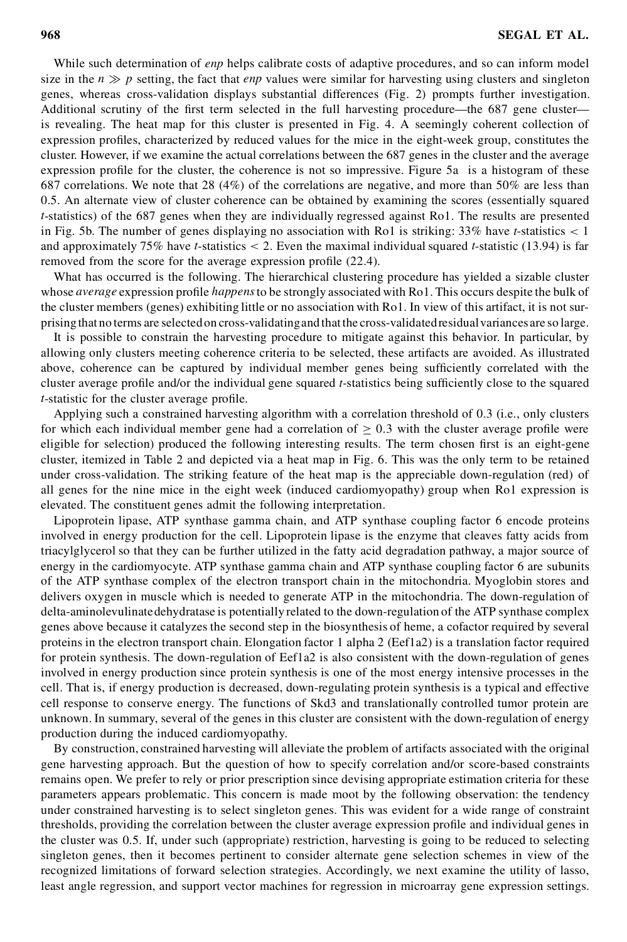While such determination of *enp* helps calibrate costs of adaptive procedures, and so can inform model size in the  $n \gg p$  setting, the fact that *enp* values were similar for harvesting using clusters and singleton genes, whereas cross-validation displays substantial differences (Fig. 2) prompts further investigation. Additional scrutiny of the first term selected in the full harvesting procedure—the 687 gene cluster is revealing. The heat map for this cluster is presented in Fig. 4. A seemingly coherent collection of expression profiles, characterized by reduced values for the mice in the eight-week group, constitutes the cluster. However, if we examine the actual correlations between the 687 genes in the cluster and the average expression profile for the cluster, the coherence is not so impressive. Figure 5a is a histogram of these 687 correlations. We note that 28 (4%) of the correlations are negative, and more than 50% are less than 0.5. An alternate view of cluster coherence can be obtained by examining the scores (essentially squared *t*-statistics) of the 687 genes when they are individually regressed against Ro1. The results are presented in Fig. 5b. The number of genes displaying no association with Ro1 is striking: 33% have *t*-statistics < 1 and approximately 75% have *t*-statistics < 2. Even the maximal individual squared *t*-statistic (13.94) is far removed from the score for the average expression profile (22.4).

What has occurred is the following. The hierarchical clustering procedure has yielded a sizable cluster whose *average* expression profile *happens* to be strongly associated with Ro1. This occurs despite the bulk of the cluster members (genes) exhibiting little or no association with Ro1. In view of this artifact, it is not surprising that no terms are selectedon cross-validatingand thatthe cross-validatedresidualvariancesare so large.

It is possible to constrain the harvesting procedure to mitigate against this behavior. In particular, by allowing only clusters meeting coherence criteria to be selected, these artifacts are avoided. As illustrated above, coherence can be captured by individual member genes being sufficiently correlated with the cluster average profile and/or the individual gene squared *t*-statistics being sufficiently close to the squared *t*-statistic for the cluster average profile.

Applying such a constrained harvesting algorithm with a correlation threshold of 0.3 (i.e., only clusters for which each individual member gene had a correlation of  $\geq 0.3$  with the cluster average profile were eligible for selection) produced the following interesting results. The term chosen first is an eight-gene cluster, itemized in Table 2 and depicted via a heat map in Fig. 6. This was the only term to be retained under cross-validation. The striking feature of the heat map is the appreciable down-regulation (red) of all genes for the nine mice in the eight week (induced cardiomyopathy) group when Ro1 expression is elevated. The constituent genes admit the following interpretation.

Lipoprotein lipase, ATP synthase gamma chain, and ATP synthase coupling factor 6 encode proteins involved in energy production for the cell. Lipoprotein lipase is the enzyme that cleaves fatty acids from triacylglycerol so that they can be further utilized in the fatty acid degradation pathway, a major source of energy in the cardiomyocyte. ATP synthase gamma chain and ATP synthase coupling factor 6 are subunits of the ATP synthase complex of the electron transport chain in the mitochondria. Myoglobin stores and delivers oxygen in muscle which is needed to generate ATP in the mitochondria. The down-regulation of delta-aminolevulinatedehydratase is potentially related to the down-regulation of the ATP synthase complex genes above because it catalyzes the second step in the biosynthesis of heme, a cofactor required by several proteins in the electron transport chain. Elongation factor 1 alpha 2 (Eef1a2) is a translation factor required for protein synthesis. The down-regulation of Eef1a2 is also consistent with the down-regulation of genes involved in energy production since protein synthesis is one of the most energy intensive processes in the cell. That is, if energy production is decreased, down-regulating protein synthesis is a typical and effective cell response to conserve energy. The functions of Skd3 and translationally controlled tumor protein are unknown. In summary, several of the genes in this cluster are consistent with the down-regulation of energy production during the induced cardiomyopathy.

By construction, constrained harvesting will alleviate the problem of artifacts associated with the original gene harvesting approach. But the question of how to specify correlation and/or score-based constraints remains open. We prefer to rely or prior prescription since devising appropriate estimation criteria for these parameters appears problematic. This concern is made moot by the following observation: the tendency under constrained harvesting is to select singleton genes. This was evident for a wide range of constraint thresholds, providing the correlation between the cluster average expression profile and individual genes in the cluster was 0.5. If, under such (appropriate) restriction, harvesting is going to be reduced to selecting singleton genes, then it becomes pertinent to consider alternate gene selection schemes in view of the recognized limitations of forward selection strategies. Accordingly, we next examine the utility of lasso, least angle regression, and support vector machines for regression in microarray gene expression settings.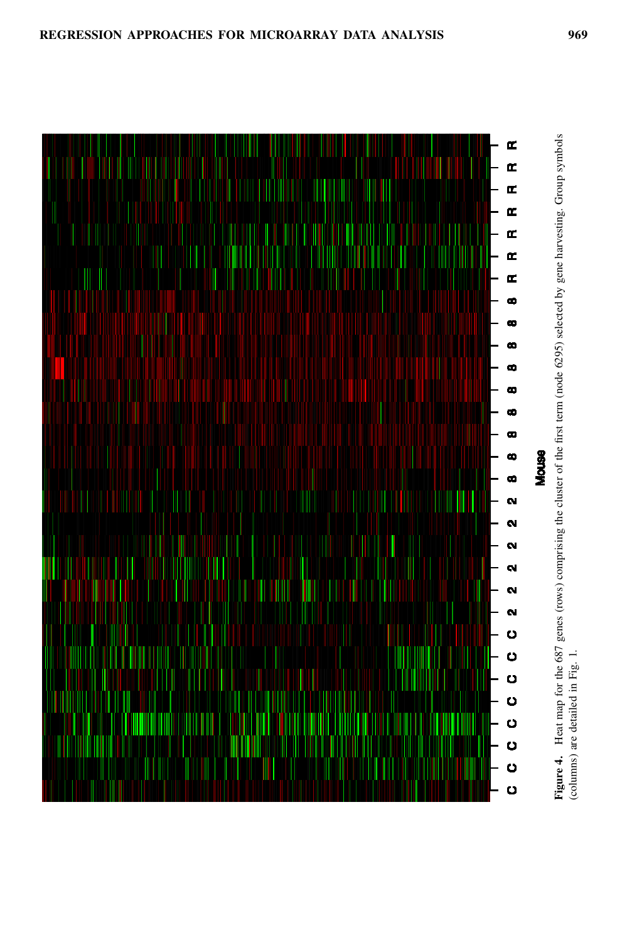

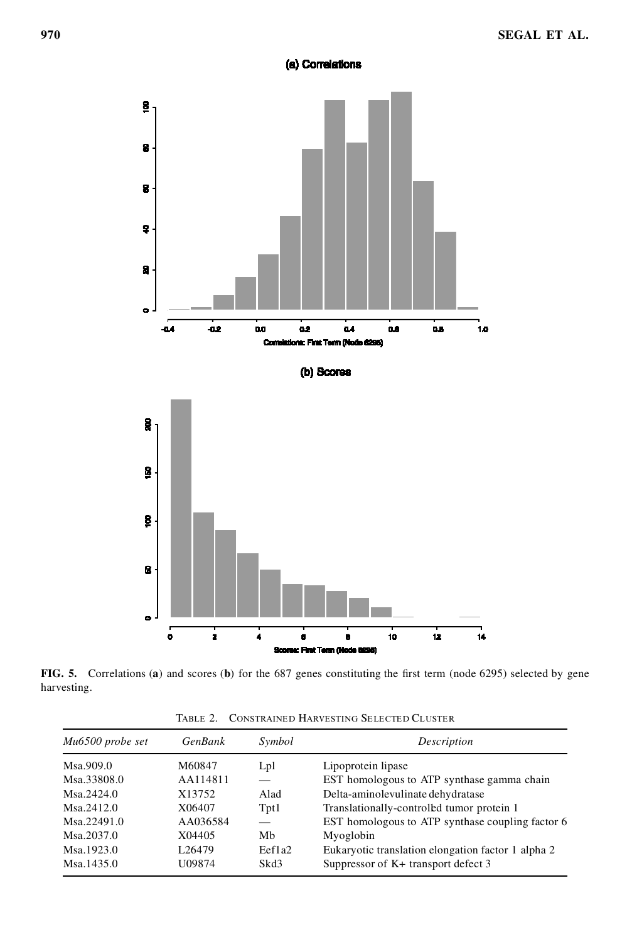# (a) Correlations



FIG. 5. Correlations (a) and scores (b) for the 687 genes constituting the first term (node 6295) selected by gene harvesting.

| Mu6500 probe set | <b>GenBank</b>     | Symbol | Description                                        |
|------------------|--------------------|--------|----------------------------------------------------|
| Msa.909.0        | M60847             | Lpl    | Lipoprotein lipase                                 |
| Msa.33808.0      | AA114811           |        | EST homologous to ATP synthase gamma chain         |
| Msa.2424.0       | X13752             | Alad   | Delta-aminolevulinate dehydratase                  |
| $M$ sa 2412.0    | X06407             | Tpt1   | Translationally-controled tumor protein 1          |
| Msa.22491.0      | AA036584           |        | EST homologous to ATP synthase coupling factor 6   |
| Msa.2037.0       | X04405             | Mb     | Myoglobin                                          |
| Msa.1923.0       | L <sub>26479</sub> | Eef1a2 | Eukaryotic translation elongation factor 1 alpha 2 |
| Msa.1435.0       | U09874             | Skd3   | Suppressor of $K$ + transport defect 3             |

Table 2. Constrained Harvesting Selected Cluster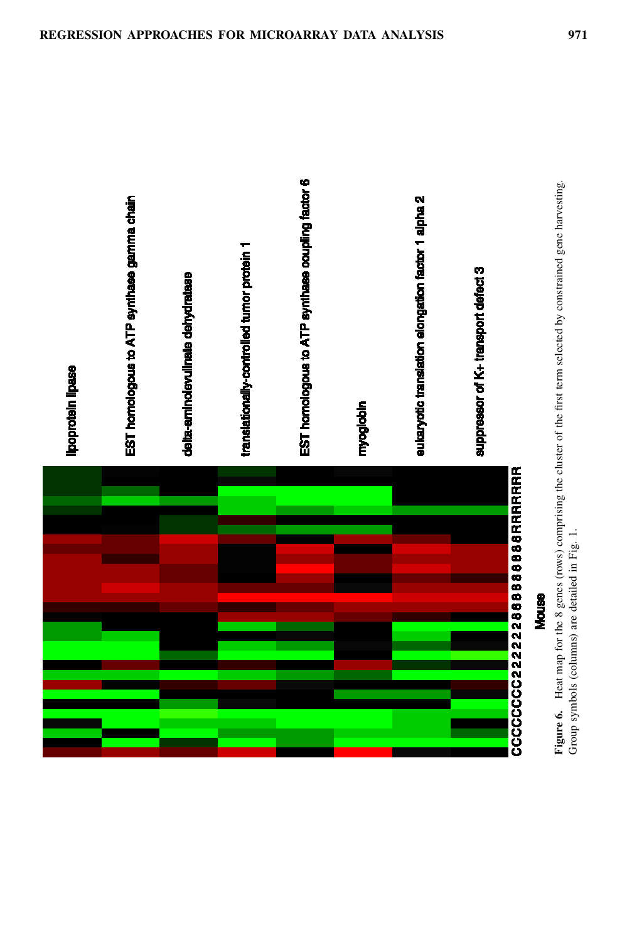

EST homologous to ATP synthase gamma chain

deita-aminolevulinate dehydrat

translationally-controlled tumor protein 1

EST homologous to ATP synthase coupling factor 6

sukaryotic translation elongation factor 1 alpha 2

suppressor of K+ transport defect 3

**Figure 6.** Heat map for the 8 genes (rows) comprising the cluster of the first term selected by constrained gene harvesting. Group symbols (columns) are detailed in Fig. 1.

Group symbols (columns) are detailed in Fig. 1.

**Mouse** 

Figure 6. Heat map for the 8 genes (rows) comprising the cluster of the first term selected by constrained gene harvesting.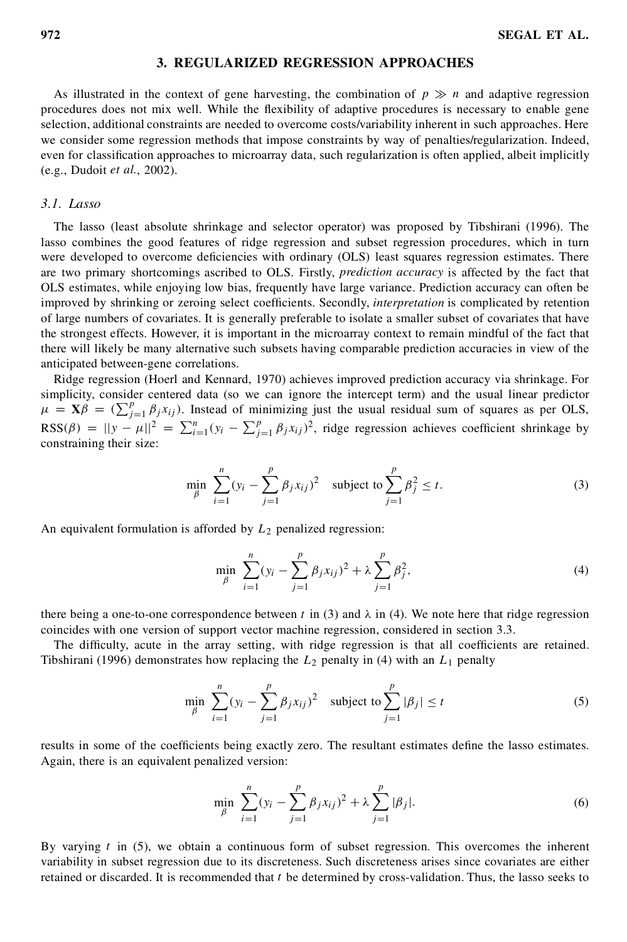# **3. REGULARIZED REGRESSION APPROACHES**

As illustrated in the context of gene harvesting, the combination of  $p \gg n$  and adaptive regression procedures does not mix well. While the flexibility of adaptive procedures is necessary to enable gene selection, additional constraints are needed to overcome costs/variability inherent in such approaches. Here we consider some regression methods that impose constraints by way of penalties/regularization. Indeed, even for classification approaches to microarray data, such regularization is often applied, albeit implicitly (e.g., Dudoit *et al.*, 2002).

# *3.1. Lasso*

The lasso (least absolute shrinkage and selector operator) was proposed by Tibshirani (1996). The lasso combines the good features of ridge regression and subset regression procedures, which in turn were developed to overcome deficiencies with ordinary (OLS) least squares regression estimates. There are two primary shortcomings ascribed to OLS. Firstly, *prediction accuracy* is affected by the fact that OLS estimates, while enjoying low bias, frequently have large variance. Prediction accuracy can often be improved by shrinking or zeroing select coefficients. Secondly, *interpretation* is complicated by retention of large numbers of covariates. It is generally preferable to isolate a smaller subset of covariates that have the strongest effects. However, it is important in the microarray context to remain mindful of the fact that there will likely be many alternative such subsets having comparable prediction accuracies in view of the anticipated between-gene correlations.

Ridge regression (Hoerl and Kennard, 1970) achieves improved prediction accuracy via shrinkage. For simplicity, consider centered data (so we can ignore the intercept term) and the usual linear predictor simplicity, consider centered data (so we can ignore the intercept term) and the usual inear predictor  $\mu = \mathbf{X}\beta = (\sum_{j=1}^p \beta_j x_{ij})$ . Instead of minimizing just the usual residual sum of squares as per OLS, RSS( $\beta$ ) =  $||y - \mu||^2 = \sum_{i=1}^n (y_i - \sum_{j=1}^p \beta_j x_{ij})^2$ , ridge regression achieves coefficient shrinkage by constraining their size:

$$
\min_{\beta} \sum_{i=1}^{n} (y_i - \sum_{j=1}^{p} \beta_j x_{ij})^2 \text{ subject to } \sum_{j=1}^{p} \beta_j^2 \le t.
$$
 (3)

An equivalent formulation is afforded by  $L_2$  penalized regression:

$$
\min_{\beta} \sum_{i=1}^{n} (y_i - \sum_{j=1}^{p} \beta_j x_{ij})^2 + \lambda \sum_{j=1}^{p} \beta_j^2,
$$
\n(4)

there being a one-to-one correspondence between t in (3) and  $\lambda$  in (4). We note here that ridge regression coincides with one version of support vector machine regression, considered in section 3.3.

The difficulty, acute in the array setting, with ridge regression is that all coefficients are retained. Tibshirani (1996) demonstrates how replacing the  $L_2$  penalty in (4) with an  $L_1$  penalty

$$
\min_{\beta} \sum_{i=1}^{n} (y_i - \sum_{j=1}^{p} \beta_j x_{ij})^2 \quad \text{subject to } \sum_{j=1}^{p} |\beta_j| \le t \tag{5}
$$

results in some of the coefficients being exactly zero. The resultant estimates define the lasso estimates. Again, there is an equivalent penalized version:

$$
\min_{\beta} \sum_{i=1}^{n} (y_i - \sum_{j=1}^{p} \beta_j x_{ij})^2 + \lambda \sum_{j=1}^{p} |\beta_j|.
$$
 (6)

By varying  $t$  in (5), we obtain a continuous form of subset regression. This overcomes the inherent variability in subset regression due to its discreteness. Such discreteness arises since covariates are either retained or discarded. It is recommended that  $t$  be determined by cross-validation. Thus, the lasso seeks to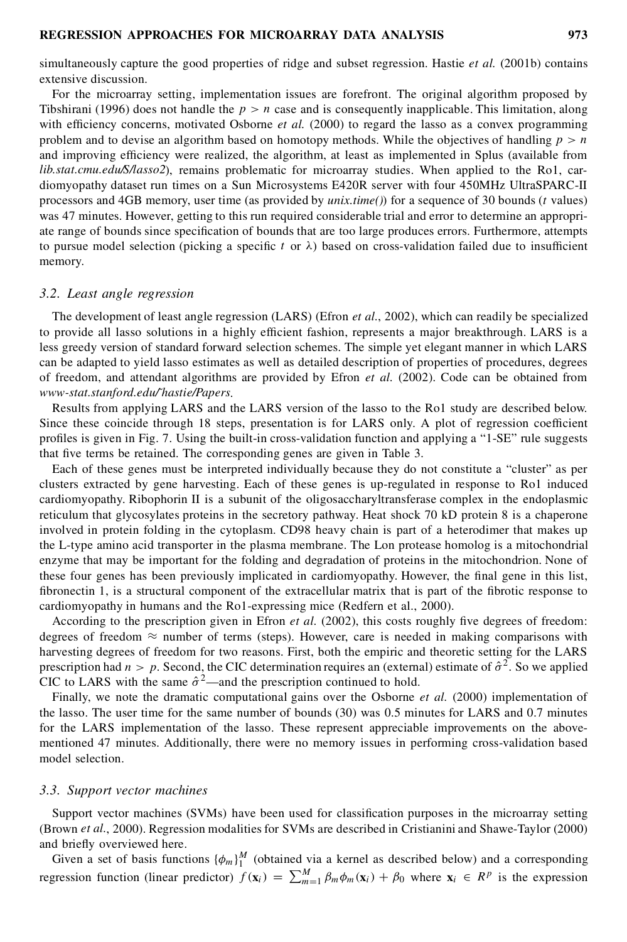simultaneously capture the good properties of ridge and subset regression. Hastie *et al.* (2001b) contains extensive discussion.

For the microarray setting, implementation issues are forefront. The original algorithm proposed by Tibshirani (1996) does not handle the  $p > n$  case and is consequently inapplicable. This limitation, along with efficiency concerns, motivated Osborne *et al.* (2000) to regard the lasso as a convex programming problem and to devise an algorithm based on homotopy methods. While the objectives of handling  $p > n$ and improving efficiency were realized, the algorithm, at least as implemented in Splus (available from *lib.stat.cmu.edu/S/lasso2*), remains problematic for microarray studies. When applied to the Ro1, cardiomyopathy dataset run times on a Sun Microsystems E420R server with four 450MHz UltraSPARC-II processors and 4GB memory, user time (as provided by *unix.time()*) for a sequence of 30 bounds (t values) was 47 minutes. However, getting to this run required considerable trial and error to determine an appropriate range of bounds since specification of bounds that are too large produces errors. Furthermore, attempts to pursue model selection (picking a specific t or  $\lambda$ ) based on cross-validation failed due to insufficient memory.

## *3.2. Least angle regression*

The development of least angle regression (LARS) (Efron *et al.*, 2002), which can readily be specialized to provide all lasso solutions in a highly efficient fashion, represents a major breakthrough. LARS is a less greedy version of standard forward selection schemes. The simple yet elegant manner in which LARS can be adapted to yield lasso estimates as well as detailed description of properties of procedures, degrees of freedom, and attendant algorithms are provided by Efron *et al.* (2002). Code can be obtained from *www-stat.stanford.edu/˜hastie/Papers*.

Results from applying LARS and the LARS version of the lasso to the Ro1 study are described below. Since these coincide through 18 steps, presentation is for LARS only. A plot of regression coefficient profiles is given in Fig. 7. Using the built-in cross-validation function and applying a "1-SE" rule suggests that five terms be retained. The corresponding genes are given in Table 3.

Each of these genes must be interpreted individually because they do not constitute a "cluster" as per clusters extracted by gene harvesting. Each of these genes is up-regulated in response to Ro1 induced cardiomyopathy. Ribophorin II is a subunit of the oligosaccharyltransferase complex in the endoplasmic reticulum that glycosylates proteins in the secretory pathway. Heat shock 70 kD protein 8 is a chaperone involved in protein folding in the cytoplasm. CD98 heavy chain is part of a heterodimer that makes up the L-type amino acid transporter in the plasma membrane. The Lon protease homolog is a mitochondrial enzyme that may be important for the folding and degradation of proteins in the mitochondrion. None of these four genes has been previously implicated in cardiomyopathy. However, the final gene in this list, fibronectin 1, is a structural component of the extracellular matrix that is part of the fibrotic response to cardiomyopathy in humans and the Ro1-expressing mice (Redfern et al., 2000).

According to the prescription given in Efron *et al.* (2002), this costs roughly five degrees of freedom: degrees of freedom  $\approx$  number of terms (steps). However, care is needed in making comparisons with harvesting degrees of freedom for two reasons. First, both the empiric and theoretic setting for the LARS prescription had  $n > p$ . Second, the CIC determination requires an (external) estimate of  $\hat{\sigma}^2$ . So we applied CIC to LARS with the same  $\hat{\sigma}^2$ —and the prescription continued to hold.

Finally, we note the dramatic computational gains over the Osborne *et al.* (2000) implementation of the lasso. The user time for the same number of bounds (30) was 0.5 minutes for LARS and 0.7 minutes for the LARS implementation of the lasso. These represent appreciable improvements on the abovementioned 47 minutes. Additionally, there were no memory issues in performing cross-validation based model selection.

#### *3.3. Support vector machines*

Support vector machines (SVMs) have been used for classification purposes in the microarray setting (Brown *et al.*, 2000). Regression modalities for SVMs are described in Cristianini and Shawe-Taylor (2000) and briefly overviewed here.

Given a set of basis functions  $\{\phi_m\}_1^M$  (obtained via a kernel as described below) and a corresponding regression function (linear predictor)  $f(\mathbf{x}_i) = \sum_{m=1}^{M} \beta_m \phi_m(\mathbf{x}_i) + \beta_0$  where  $\mathbf{x}_i \in R^p$  is the expression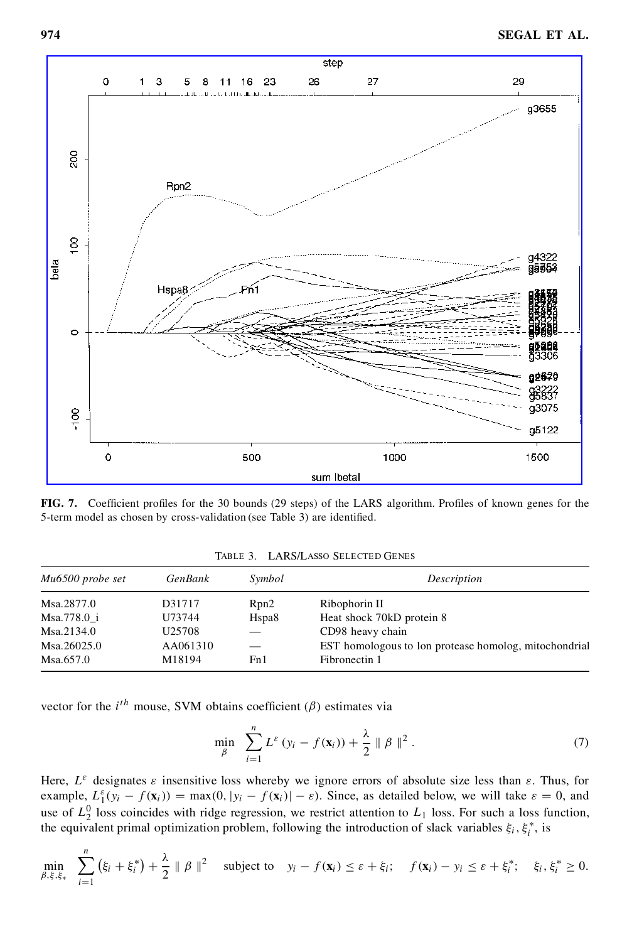

**FIG. 7.** Coefficient profiles for the 30 bounds (29 steps) of the LARS algorithm. Profiles of known genes for the 5-term model as chosen by cross-validation (see Table 3) are identified.

| Mu6500 probe set | <b>GenBank</b>     | Symbol             | Description                                           |
|------------------|--------------------|--------------------|-------------------------------------------------------|
| Msa.2877.0       | D31717             | Rpn2               | Ribophorin II                                         |
| Msa.778.0 i      | U73744             | H <sub>spa</sub> 8 | Heat shock 70kD protein 8                             |
| Msa.2134.0       | U <sub>25708</sub> |                    | CD98 heavy chain                                      |
| Msa.26025.0      | AA061310           |                    | EST homologous to lon protease homolog, mitochondrial |
| Msa.657.0        | M18194             | Fn1                | Fibronectin 1                                         |

Table 3. LARS/Lasso Selected Genes

vector for the  $i^{th}$  mouse, SVM obtains coefficient ( $\beta$ ) estimates via

$$
\min_{\beta} \quad \sum_{i=1}^{n} L^{\varepsilon} \left( y_i - f(\mathbf{x}_i) \right) + \frac{\lambda}{2} \parallel \beta \parallel^2. \tag{7}
$$

Here,  $L^{\varepsilon}$  designates  $\varepsilon$  insensitive loss whereby we ignore errors of absolute size less than  $\varepsilon$ . Thus, for example,  $L_1^{\varepsilon}(y_i - f(\mathbf{x}_i)) = \max(0, |y_i - f(\mathbf{x}_i)| - \varepsilon)$ . Since, as detailed below, we will take  $\varepsilon = 0$ , and use of  $L_2^0$  loss coincides with ridge regression, we restrict attention to  $L_1$  loss. For such a loss function, the equivalent primal optimization problem, following the introduction of slack variables  $\xi_i$ ,  $\xi_i^*$ , is

$$
\min_{\beta,\xi,\xi_*} \sum_{i=1}^n (\xi_i + \xi_i^*) + \frac{\lambda}{2} \parallel \beta \parallel^2 \quad \text{subject to} \quad y_i - f(\mathbf{x}_i) \leq \varepsilon + \xi_i; \quad f(\mathbf{x}_i) - y_i \leq \varepsilon + \xi_i^*; \quad \xi_i, \xi_i^* \geq 0.
$$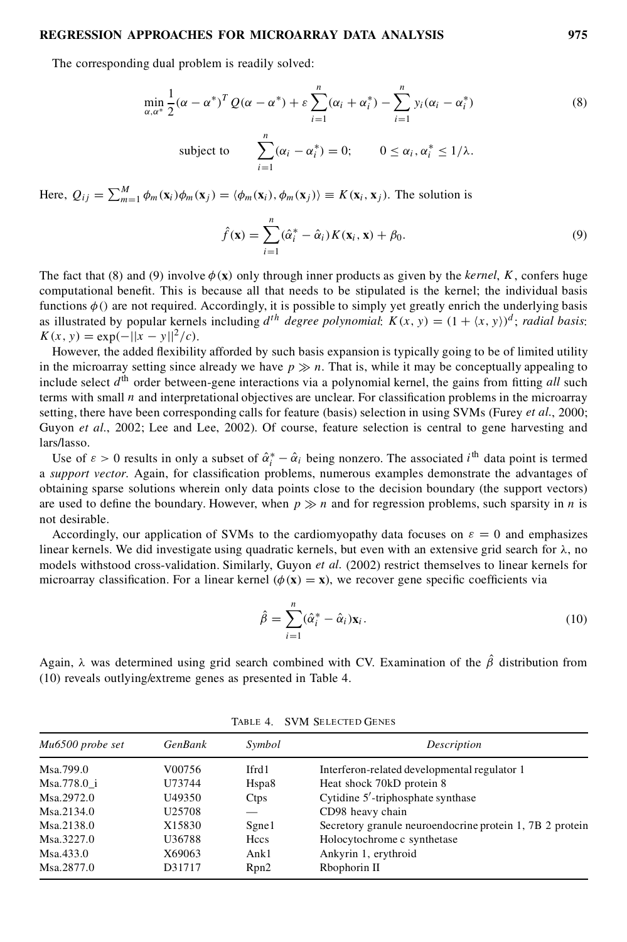The corresponding dual problem is readily solved:

$$
\min_{\alpha,\alpha^*} \frac{1}{2} (\alpha - \alpha^*)^T Q(\alpha - \alpha^*) + \varepsilon \sum_{i=1}^n (\alpha_i + \alpha_i^*) - \sum_{i=1}^n y_i (\alpha_i - \alpha_i^*)
$$
\n(8)

subject to 
$$
\sum_{i=1}^{n} (\alpha_i - \alpha_i^*) = 0; \qquad 0 \leq \alpha_i, \alpha_i^* \leq 1/\lambda.
$$

Here,  $Q_{ij} = \sum_{m=1}^{M} \phi_m(\mathbf{x}_i)\phi_m(\mathbf{x}_j) = \langle \phi_m(\mathbf{x}_i), \phi_m(\mathbf{x}_j) \rangle \equiv K(\mathbf{x}_i, \mathbf{x}_j)$ . The solution is

$$
\hat{f}(\mathbf{x}) = \sum_{i=1}^{n} (\hat{\alpha}_i^* - \hat{\alpha}_i) K(\mathbf{x}_i, \mathbf{x}) + \beta_0.
$$
\n(9)

The fact that (8) and (9) involve  $\phi(\mathbf{x})$  only through inner products as given by the *kernel*, K, confers huge computational benefit. This is because all that needs to be stipulated is the kernel; the individual basis functions  $\phi$ .) are not required. Accordingly, it is possible to simply yet greatly enrich the underlying basis as illustrated by popular kernels including  $d^{th}$  *degree polynomial*:  $K(x, y) = (1 + \langle x, y \rangle)^d$ ; *radial basis*:  $K(x, y) = \exp(-||x - y||^2/c)$ .<br>However, the added flexibility afforded by such basis expansion is typically going to be of limited utility

in the microarray setting since already we have  $p \gg n$ . That is, while it may be conceptually appealing to include select  $d<sup>th</sup>$  order between-gene interactions via a polynomial kernel, the gains from fitting *all* such terms with small  $n$  and interpretational objectives are unclear. For classification problems in the microarray setting, there have been corresponding calls for feature (basis) selection in using SVMs (Furey *et al.*, 2000; Guyon *et al.*, 2002; Lee and Lee, 2002). Of course, feature selection is central to gene harvesting and lars/lasso.

Use of  $\varepsilon > 0$  results in only a subset of  $\hat{\alpha}_i^* - \hat{\alpha}_i$  being nonzero. The associated  $i^{\text{th}}$  data point is termed a *support vector*. Again, for classification problems, numerous examples demonstrate the advantages of obtaining sparse solutions wherein only data points close to the decision boundary (the support vectors) are used to define the boundary. However, when  $p \gg n$  and for regression problems, such sparsity in n is not desirable.

Accordingly, our application of SVMs to the cardiomyopathy data focuses on  $\varepsilon = 0$  and emphasizes linear kernels. We did investigate using quadratic kernels, but even with an extensive grid search for  $\lambda$ , no models withstood cross-validation. Similarly, Guyon *et al.* (2002) restrict themselves to linear kernels for microarray classification. For a linear kernel  $(\phi(\mathbf{x}) = \mathbf{x})$ , we recover gene specific coefficients via

$$
\hat{\beta} = \sum_{i=1}^{n} (\hat{\alpha}_i^* - \hat{\alpha}_i) \mathbf{x}_i.
$$
\n(10)

Again,  $\lambda$  was determined using grid search combined with CV. Examination of the  $\hat{\beta}$  distribution from (10) reveals outlying/extreme genes as presented in Table 4.

| Mu6500 probe set | <b>GenBank</b>     | Symbol            | Description                                              |
|------------------|--------------------|-------------------|----------------------------------------------------------|
| Msa.799.0        | V00756             | Ifrd1             | Interferon-related developmental regulator 1             |
| Msa.778.0 i      | U73744             | Hspa <sub>8</sub> | Heat shock 70kD protein 8                                |
| Msa.2972.0       | U49350             | Ctps              | Cytidine 5'-triphosphate synthase                        |
| Msa.2134.0       | U <sub>25708</sub> |                   | CD98 heavy chain                                         |
| Msa.2138.0       | X15830             | Sgne1             | Secretory granule neuroendocrine protein 1, 7B 2 protein |
| Msa.3227.0       | U36788             | Hccs              | Holocytochrome c synthetase                              |
| Msa.433.0        | X69063             | Ank1              | Ankyrin 1, erythroid                                     |
| Msa.2877.0       | D31717             | Rpn2              | Rbophorin II                                             |

Table 4. SVM Selected Genes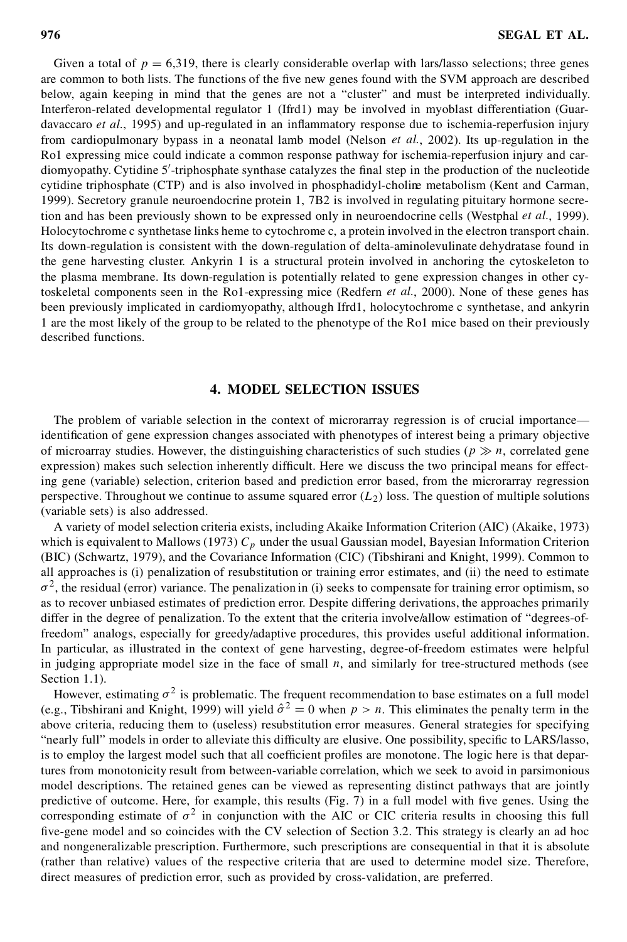Given a total of  $p = 6,319$ , there is clearly considerable overlap with lars/lasso selections; three genes are common to both lists. The functions of the five new genes found with the SVM approach are described below, again keeping in mind that the genes are not a "cluster" and must be interpreted individually. Interferon-related developmental regulator 1 (Ifrd1) may be involved in myoblast differentiation (Guardavaccaro *et al.*, 1995) and up-regulated in an inflammatory response due to ischemia-reperfusion injury from cardiopulmonary bypass in a neonatal lamb model (Nelson *et al.*, 2002). Its up-regulation in the Ro1 expressing mice could indicate a common response pathway for ischemia-reperfusion injury and cardiomyopathy. Cytidine 5'-triphosphate synthase catalyzes the final step in the production of the nucleotide cytidine triphosphate (CTP) and is also involved in phosphadidyl-choline metabolism (Kent and Carman, 1999). Secretory granule neuroendocrine protein 1, 7B2 is involved in regulating pituitary hormone secretion and has been previously shown to be expressed only in neuroendocrine cells (Westphal *et al.*, 1999). Holocytochrome c synthetase links heme to cytochrome c, a protein involved in the electron transport chain. Its down-regulation is consistent with the down-regulation of delta-aminolevulinate dehydratase found in the gene harvesting cluster. Ankyrin 1 is a structural protein involved in anchoring the cytoskeleton to the plasma membrane. Its down-regulation is potentially related to gene expression changes in other cytoskeletal components seen in the Ro1-expressing mice (Redfern *et al.*, 2000). None of these genes has been previously implicated in cardiomyopathy, although Ifrd1, holocytochrome c synthetase, and ankyrin 1 are the most likely of the group to be related to the phenotype of the Ro1 mice based on their previously described functions.

# **4. MODEL SELECTION ISSUES**

The problem of variable selection in the context of microrarray regression is of crucial importance identification of gene expression changes associated with phenotypes of interest being a primary objective of microarray studies. However, the distinguishing characteristics of such studies ( $p \gg n$ , correlated gene expression) makes such selection inherently difficult. Here we discuss the two principal means for effecting gene (variable) selection, criterion based and prediction error based, from the microrarray regression perspective. Throughout we continue to assume squared error  $(L_2)$  loss. The question of multiple solutions (variable sets) is also addressed.

A variety of model selection criteria exists, including Akaike Information Criterion (AIC) (Akaike, 1973) which is equivalent to Mallows (1973)  $C_p$  under the usual Gaussian model, Bayesian Information Criterion (BIC) (Schwartz, 1979), and the Covariance Information (CIC) (Tibshirani and Knight, 1999). Common to all approaches is (i) penalization of resubstitution or training error estimates, and (ii) the need to estimate  $\sigma^2$ , the residual (error) variance. The penalization in (i) seeks to compensate for training error optimism, so as to recover unbiased estimates of prediction error. Despite differing derivations, the approaches primarily differ in the degree of penalization. To the extent that the criteria involve/allow estimation of "degrees-offreedom" analogs, especially for greedy/adaptive procedures, this provides useful additional information. In particular, as illustrated in the context of gene harvesting, degree-of-freedom estimates were helpful in judging appropriate model size in the face of small  $n$ , and similarly for tree-structured methods (see Section 1.1).

However, estimating  $\sigma^2$  is problematic. The frequent recommendation to base estimates on a full model (e.g., Tibshirani and Knight, 1999) will yield  $\hat{\sigma}^2 = 0$  when  $p > n$ . This eliminates the penalty term in the above criteria, reducing them to (useless) resubstitution error measures. General strategies for specifying "nearly full" models in order to alleviate this difficulty are elusive. One possibility, specific to LARS/lasso, is to employ the largest model such that all coefficient profiles are monotone. The logic here is that departures from monotonicity result from between-variable correlation, which we seek to avoid in parsimonious model descriptions. The retained genes can be viewed as representing distinct pathways that are jointly predictive of outcome. Here, for example, this results (Fig.  $7$ ) in a full model with five genes. Using the corresponding estimate of  $\sigma^2$  in conjunction with the AIC or CIC criteria results in choosing this full five-gene model and so coincides with the CV selection of Section 3.2. This strategy is clearly an ad hoc and nongeneralizable prescription. Furthermore, such prescriptions are consequential in that it is absolute (rather than relative) values of the respective criteria that are used to determine model size. Therefore, direct measures of prediction error, such as provided by cross-validation, are preferred.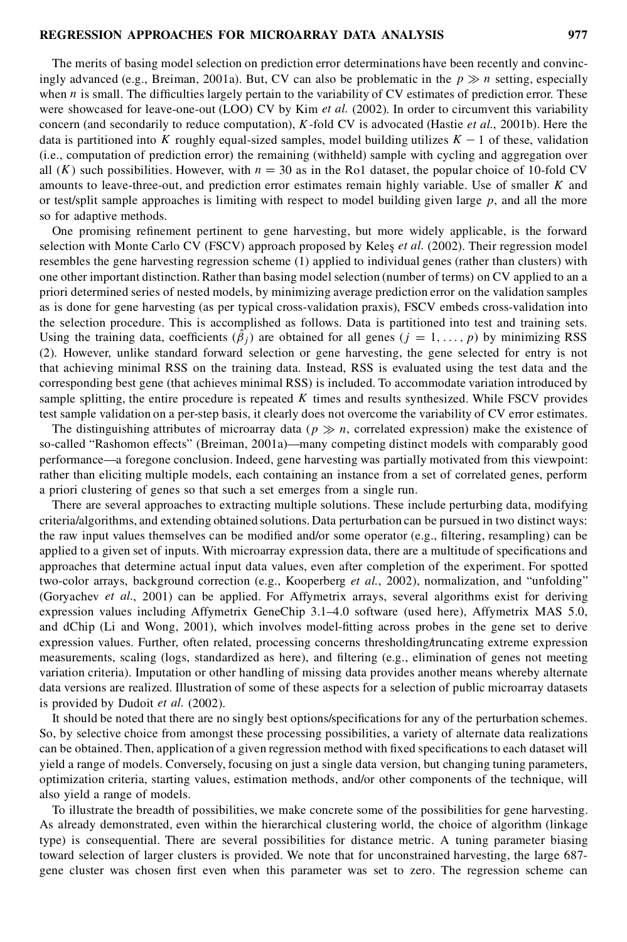The merits of basing model selection on prediction error determinations have been recently and convincingly advanced (e.g., Breiman, 2001a). But, CV can also be problematic in the  $p \gg n$  setting, especially when  $n$  is small. The difficulties largely pertain to the variability of CV estimates of prediction error. These were showcased for leave-one-out (LOO) CV by Kim *et al.* (2002). In order to circumvent this variability concern (and secondarily to reduce computation), K-fold CV is advocated (Hastie *et al.*, 2001b). Here the data is partitioned into K roughly equal-sized samples, model building utilizes  $K - 1$  of these, validation (i.e., computation of prediction error) the remaining (withheld) sample with cycling and aggregation over all  $(K)$  such possibilities. However, with  $n = 30$  as in the Ro1 dataset, the popular choice of 10-fold CV amounts to leave-three-out, and prediction error estimates remain highly variable. Use of smaller  $K$  and or test/split sample approaches is limiting with respect to model building given large  $p$ , and all the more so for adaptive methods.

One promising refinement pertinent to gene harvesting, but more widely applicable, is the forward selection with Monte Carlo CV (FSCV) approach proposed by Keleş *et al.* (2002). Their regression model resembles the gene harvesting regression scheme (1) applied to individual genes (rather than clusters) with one other important distinction.Rather than basing model selection (number of terms) on CV applied to an a priori determined series of nested models, by minimizing average prediction error on the validation samples as is done for gene harvesting (as per typical cross-validation praxis), FSCV embeds cross-validation into the selection procedure. This is accomplished as follows. Data is partitioned into test and training sets. Using the training data, coefficients  $(\beta_j)$  are obtained for all genes  $(j = 1, ..., p)$  by minimizing RSS (2). However, unlike standard forward selection or gene harvesting, the gene selected for entry is not that achieving minimal RSS on the training data. Instead, RSS is evaluated using the test data and the corresponding best gene (that achieves minimal RSS) is included. To accommodate variation introduced by sample splitting, the entire procedure is repeated  $K$  times and results synthesized. While FSCV provides test sample validation on a per-step basis, it clearly does not overcome the variability of CV error estimates.

The distinguishing attributes of microarray data ( $p \gg n$ , correlated expression) make the existence of so-called "Rashomon effects" (Breiman, 2001a)—many competing distinct models with comparably good performance—a foregone conclusion. Indeed, gene harvesting was partially motivated from this viewpoint: rather than eliciting multiple models, each containing an instance from a set of correlated genes, perform a priori clustering of genes so that such a set emerges from a single run.

There are several approaches to extracting multiple solutions. These include perturbing data, modifying criteria/algorithms, and extending obtained solutions. Data perturbation can be pursued in two distinct ways: the raw input values themselves can be modified and/or some operator (e.g., filtering, resampling) can be applied to a given set of inputs. With microarray expression data, there are a multitude of specifications and approaches that determine actual input data values, even after completion of the experiment. For spotted two-color arrays, background correction (e.g., Kooperberg *et al.*, 2002), normalization, and "unfolding" (Goryachev *et al.*, 2001) can be applied. For Affymetrix arrays, several algorithms exist for deriving expression values including Affymetrix GeneChip 3.1–4.0 software (used here), Affymetrix MAS 5.0, and dChip (Li and Wong, 2001), which involves model-fitting across probes in the gene set to derive expression values. Further, often related, processing concerns thresholding/truncating extreme expression measurements, scaling (logs, standardized as here), and ltering (e.g., elimination of genes not meeting variation criteria). Imputation or other handling of missing data provides another means whereby alternate data versions are realized. Illustration of some of these aspects for a selection of public microarray datasets is provided by Dudoit *et al.* (2002).

It should be noted that there are no singly best options/specifications for any of the perturbation schemes. So, by selective choice from amongst these processing possibilities, a variety of alternate data realizations can be obtained. Then, application of a given regression method with fixed specifications to each dataset will yield a range of models. Conversely, focusing on just a single data version, but changing tuning parameters, optimization criteria, starting values, estimation methods, and/or other components of the technique, will also yield a range of models.

To illustrate the breadth of possibilities, we make concrete some of the possibilities for gene harvesting. As already demonstrated, even within the hierarchical clustering world, the choice of algorithm (linkage type) is consequential. There are several possibilities for distance metric. A tuning parameter biasing toward selection of larger clusters is provided. We note that for unconstrained harvesting, the large 687 gene cluster was chosen first even when this parameter was set to zero. The regression scheme can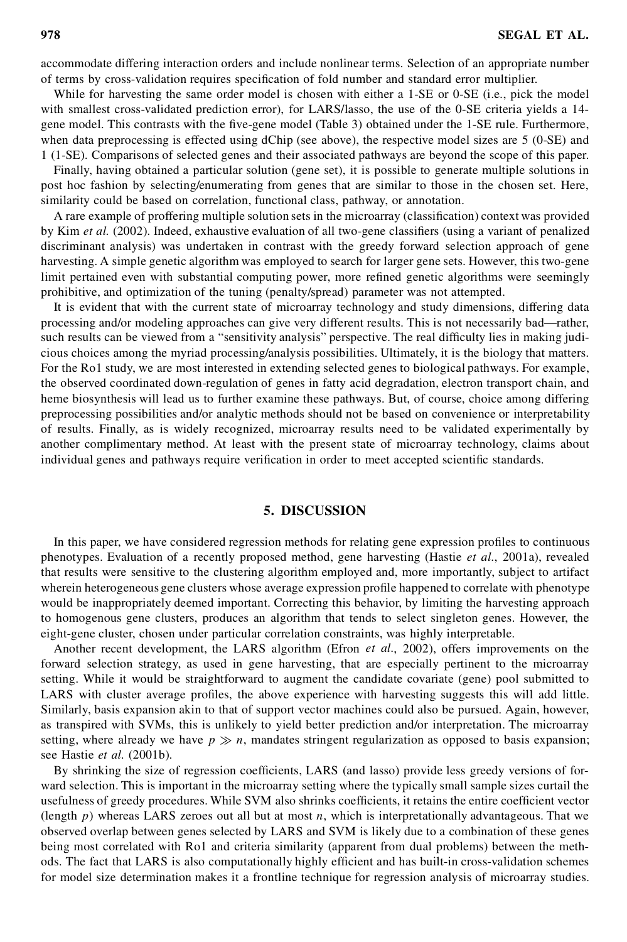accommodate differing interaction orders and include nonlinear terms. Selection of an appropriate number of terms by cross-validation requires specification of fold number and standard error multiplier.

While for harvesting the same order model is chosen with either a 1-SE or 0-SE (i.e., pick the model with smallest cross-validated prediction error), for LARS/lasso, the use of the 0-SE criteria yields a 14gene model. This contrasts with the five-gene model (Table 3) obtained under the 1-SE rule. Furthermore, when data preprocessing is effected using dChip (see above), the respective model sizes are 5 (0-SE) and 1 (1-SE). Comparisons of selected genes and their associated pathways are beyond the scope of this paper.

Finally, having obtained a particular solution (gene set), it is possible to generate multiple solutions in post hoc fashion by selecting/enumerating from genes that are similar to those in the chosen set. Here, similarity could be based on correlation, functional class, pathway, or annotation.

A rare example of proffering multiple solution sets in the microarray (classification) context was provided by Kim *et al.* (2002). Indeed, exhaustive evaluation of all two-gene classifiers (using a variant of penalized discriminant analysis) was undertaken in contrast with the greedy forward selection approach of gene harvesting. A simple genetic algorithm was employed to search for larger gene sets. However, this two-gene limit pertained even with substantial computing power, more refined genetic algorithms were seemingly prohibitive, and optimization of the tuning (penalty/spread) parameter was not attempted.

It is evident that with the current state of microarray technology and study dimensions, differing data processing and/or modeling approaches can give very different results. This is not necessarily bad—rather, such results can be viewed from a "sensitivity analysis" perspective. The real difficulty lies in making judicious choices among the myriad processing/analysis possibilities. Ultimately, it is the biology that matters. For the Ro1 study, we are most interested in extending selected genes to biological pathways. For example, the observed coordinated down-regulation of genes in fatty acid degradation, electron transport chain, and heme biosynthesis will lead us to further examine these pathways. But, of course, choice among differing preprocessing possibilities and/or analytic methods should not be based on convenience or interpretability of results. Finally, as is widely recognized, microarray results need to be validated experimentally by another complimentary method. At least with the present state of microarray technology, claims about individual genes and pathways require verification in order to meet accepted scientific standards.

# **5. DISCUSSION**

In this paper, we have considered regression methods for relating gene expression profiles to continuous phenotypes. Evaluation of a recently proposed method, gene harvesting (Hastie *et al.*, 2001a), revealed that results were sensitive to the clustering algorithm employed and, more importantly, subject to artifact wherein heterogeneous gene clusters whose average expression profile happened to correlate with phenotype would be inappropriately deemed important. Correcting this behavior, by limiting the harvesting approach to homogenous gene clusters, produces an algorithm that tends to select singleton genes. However, the eight-gene cluster, chosen under particular correlation constraints, was highly interpretable.

Another recent development, the LARS algorithm (Efron *et al.*, 2002), offers improvements on the forward selection strategy, as used in gene harvesting, that are especially pertinent to the microarray setting. While it would be straightforward to augment the candidate covariate (gene) pool submitted to LARS with cluster average profiles, the above experience with harvesting suggests this will add little. Similarly, basis expansion akin to that of support vector machines could also be pursued. Again, however, as transpired with SVMs, this is unlikely to yield better prediction and/or interpretation. The microarray setting, where already we have  $p \gg n$ , mandates stringent regularization as opposed to basis expansion; see Hastie *et al.* (2001b).

By shrinking the size of regression coefficients, LARS (and lasso) provide less greedy versions of forward selection. This is important in the microarray setting where the typically small sample sizes curtail the usefulness of greedy procedures. While SVM also shrinks coefficients, it retains the entire coefficient vector (length  $p$ ) whereas LARS zeroes out all but at most  $n$ , which is interpretationally advantageous. That we observed overlap between genes selected by LARS and SVM is likely due to a combination of these genes being most correlated with Ro1 and criteria similarity (apparent from dual problems) between the methods. The fact that LARS is also computationally highly efficient and has built-in cross-validation schemes for model size determination makes it a frontline technique for regression analysis of microarray studies.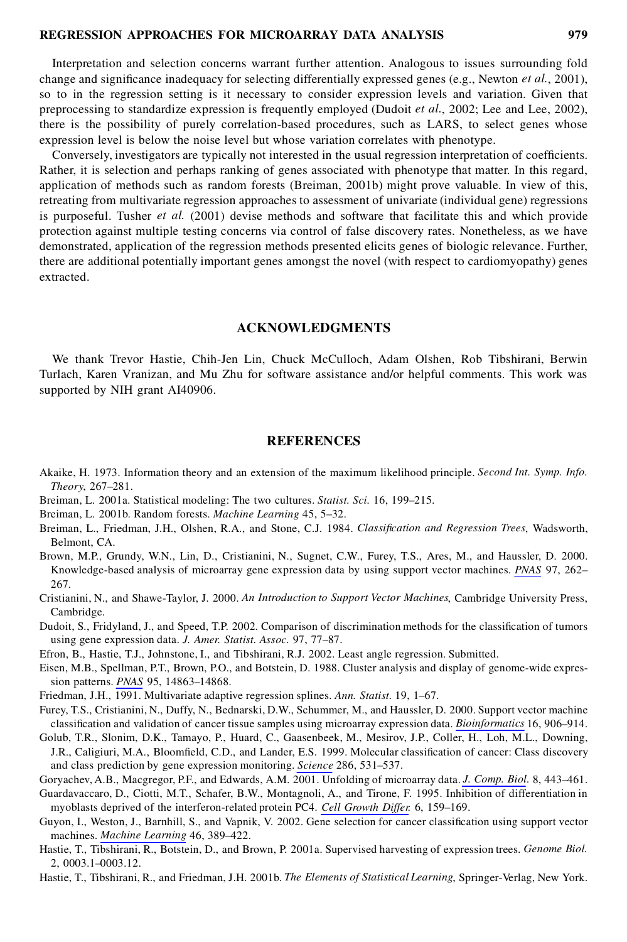Interpretation and selection concerns warrant further attention. Analogous to issues surrounding fold change and significance inadequacy for selecting differentially expressed genes (e.g., Newton *et al.*, 2001), so to in the regression setting is it necessary to consider expression levels and variation. Given that preprocessing to standardize expression is frequently employed (Dudoit *et al.*, 2002; Lee and Lee, 2002), there is the possibility of purely correlation-based procedures, such as LARS, to select genes whose expression level is below the noise level but whose variation correlates with phenotype.

Conversely, investigators are typically not interested in the usual regression interpretation of coefficients. Rather, it is selection and perhaps ranking of genes associated with phenotype that matter. In this regard, application of methods such as random forests (Breiman, 2001b) might prove valuable. In view ofthis, retreating from multivariate regression approaches to assessment of univariate (individual gene) regressions is purposeful. Tusher *et al.* (2001) devise methods and software that facilitate this and which provide protection against multiple testing concerns via control of false discovery rates. Nonetheless, as we have demonstrated, application of the regression methods presented elicits genes of biologic relevance. Further, there are additional potentially important genes amongst the novel (with respect to cardiomyopathy) genes extracted.

# **ACKNOWLEDGMENTS**

We thank Trevor Hastie, Chih-Jen Lin, Chuck McCulloch, Adam Olshen, Rob Tibshirani, Berwin Turlach, Karen Vranizan, and Mu Zhu for software assistance and/or helpful comments. This work was supported by NIH grant AI40906.

# **REFERENCES**

- Akaike, H. 1973. Information theory and an extension of the maximum likelihood principle. *Second Int. Symp. Info. Theory*, 267–281.
- Breiman, L. 2001a. Statistical modeling: The two cultures. *Statist. Sci.* 16, 199–215.
- Breiman, L. 2001b. Random forests. *Machine Learning* 45, 5–32.
- Breiman, L., Friedman, J.H., Olshen, R.A., and Stone, C.J. 1984. *Classication and Regression Trees*, Wadsworth, Belmont, CA.
- Brown, M.P., Grundy, W.N., Lin, D., Cristianini, N., Sugnet, C.W., Furey, T.S., Ares, M., and Haussler, D. 2000. Knowledge-based analysis of microarray gene expression data by using support vector machines. *PNAS* 97, 262– 267.
- Cristianini, N., and Shawe-Taylor, J. 2000. *An Introduction to Support Vector Machines*, Cambridge University Press, Cambridge.
- Dudoit, S., Fridyland, J., and Speed, T.P. 2002. Comparison of discrimination methods for the classification of tumors using gene expression data. *J. Amer. Statist. Assoc.* 97, 77–87.
- Efron, B., Hastie, T.J., Johnstone, I., and Tibshirani, R.J. 2002. Least angle regression. Submitted.
- Eisen, M.B., Spellman, P.T., Brown, P.O., and Botstein, D. 1988. Cluster analysis and display of genome-wide expression patterns. *PNAS* 95, 14863–14868.
- Friedman, J.H., 1991. Multivariate adaptive regression splines. *Ann. Statist.* 19, 1–67.
- Furey, T.S., Cristianini, N., Duffy, N., Bednarski, D.W., Schummer, M., and Haussler, D. 2000. Support vector machine classi cation and validation of cancer tissue samples using microarray expression data. *Bioinformatics* 16, 906–914.
- Golub, T.R., Slonim, D.K., Tamayo, P., Huard, C., Gaasenbeek, M., Mesirov, J.P., Coller, H., Loh, M.L., Downing, J.R., Caligiuri, M.A., Bloomfield, C.D., and Lander, E.S. 1999. Molecular classification of cancer: Class discovery and class prediction by gene expression monitoring. *Science* 286, 531–537.
- Goryachev, A.B., Macgregor, P.F., and Edwards, A.M. 2001. Unfolding of microarray data. *J. Comp. Biol.* 8, 443–461. Guardavaccaro, D., Ciotti, M.T., Schafer, B.W., Montagnoli, A., and Tirone, F. 1995. Inhibition of differentiation in myoblasts deprived of the interferon-related protein PC4. *Cell Growth Differ.* 6, 159–169.
- Guyon, I., Weston, J., Barnhill, S., and Vapnik, V. 2002. Gene selection for cancer classification using support vector machines. *Machine Learning* 46, 389–422.
- Hastie, T., Tibshirani, R., Botstein, D., and Brown, P. 2001a. Supervised harvesting of expression trees. *Genome Biol.* 2, 0003.1–0003.12.
- Hastie, T., Tibshirani, R., and Friedman, J.H. 2001b. *The Elements of Statistical Learning*, Springer-Verlag, New York.